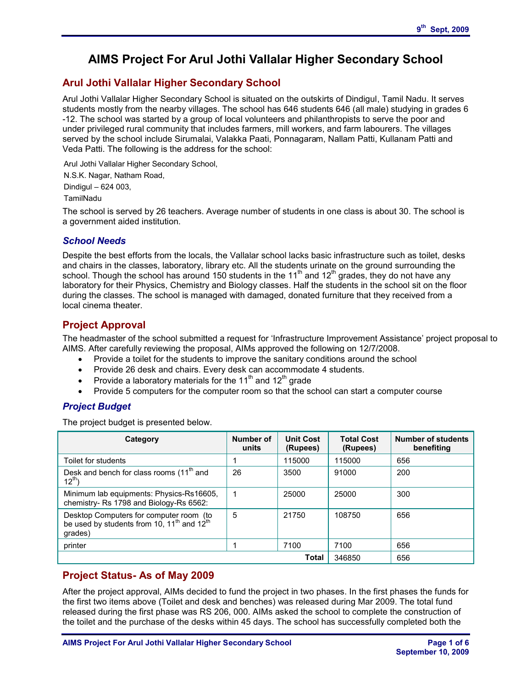# **AIMS Project For Arul Jothi Vallalar Higher Secondary School**

# **Arul Jothi Vallalar Higher Secondary School**

Arul Jothi Vallalar Higher Secondary School is situated on the outskirts of Dindigul, Tamil Nadu. It serves students mostly from the nearby villages. The school has 646 students 646 (all male) studying in grades 6 -12. The school was started by a group of local volunteers and philanthropists to serve the poor and under privileged rural community that includes farmers, mill workers, and farm labourers. The villages served by the school include Sirumalai, Valakka Paati, Ponnagaram, Nallam Patti, Kullanam Patti and Veda Patti. The following is the address for the school:

Arul Jothi Vallalar Higher Secondary School,

N.S.K. Nagar, Natham Road,

Dindigul – 624 003,

TamilNadu

The school is served by 26 teachers. Average number of students in one class is about 30. The school is a government aided institution.

### *School Needs*

Despite the best efforts from the locals, the Vallalar school lacks basic infrastructure such as toilet, desks and chairs in the classes, laboratory, library etc. All the students urinate on the ground surrounding the school. Though the school has around 150 students in the 11<sup>th</sup> and 12<sup>th</sup> grades, they do not have any laboratory for their Physics, Chemistry and Biology classes. Half the students in the school sit on the floor during the classes. The school is managed with damaged, donated furniture that they received from a local cinema theater.

# **Project Approval**

The headmaster of the school submitted a request for 'Infrastructure Improvement Assistance' project proposal to AIMS. After carefully reviewing the proposal, AIMs approved the following on 12/7/2008.

- · Provide a toilet for the students to improve the sanitary conditions around the school
- · Provide 26 desk and chairs. Every desk can accommodate 4 students.
- Provide a laboratory materials for the 11<sup>th</sup> and 12<sup>th</sup> grade
- · Provide 5 computers for the computer room so that the school can start a computer course

## *Project Budget*

The project budget is presented below.

| Category                                                                                                                 | Number of<br>units | <b>Unit Cost</b><br>(Rupees) | <b>Total Cost</b><br>(Rupees) | <b>Number of students</b><br>benefiting |
|--------------------------------------------------------------------------------------------------------------------------|--------------------|------------------------------|-------------------------------|-----------------------------------------|
| Toilet for students                                                                                                      |                    | 115000                       | 115000                        | 656                                     |
| Desk and bench for class rooms (11 <sup>th</sup> and<br>$12^{th}$ )                                                      | 26                 | 3500                         | 91000                         | 200                                     |
| Minimum lab equipments: Physics-Rs16605,<br>chemistry- Rs 1798 and Biology-Rs 6562:                                      |                    | 25000                        | 25000                         | 300                                     |
| Desktop Computers for computer room (to<br>be used by students from 10, 11 <sup>th</sup> and 12 <sup>th</sup><br>qrades) | 5                  | 21750                        | 108750                        | 656                                     |
| printer                                                                                                                  |                    | 7100                         | 7100                          | 656                                     |
| Total                                                                                                                    |                    |                              | 346850                        | 656                                     |

### **Project Status- As of May 2009**

After the project approval, AIMs decided to fund the project in two phases. In the first phases the funds for the first two items above (Toilet and desk and benches) was released during Mar 2009. The total fund released during the first phase was RS 206, 000. AIMs asked the school to complete the construction of the toilet and the purchase of the desks within 45 days. The school has successfully completed both the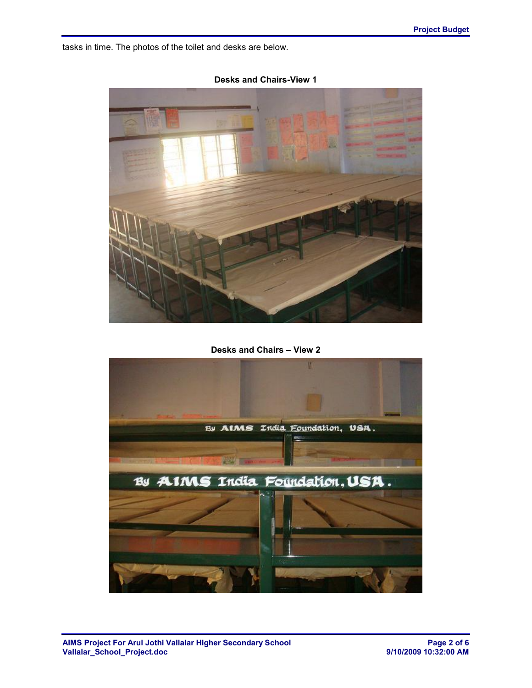tasks in time. The photos of the toilet and desks are below.



**Desks and Chairs-View 1**

**Desks and Chairs – View 2**

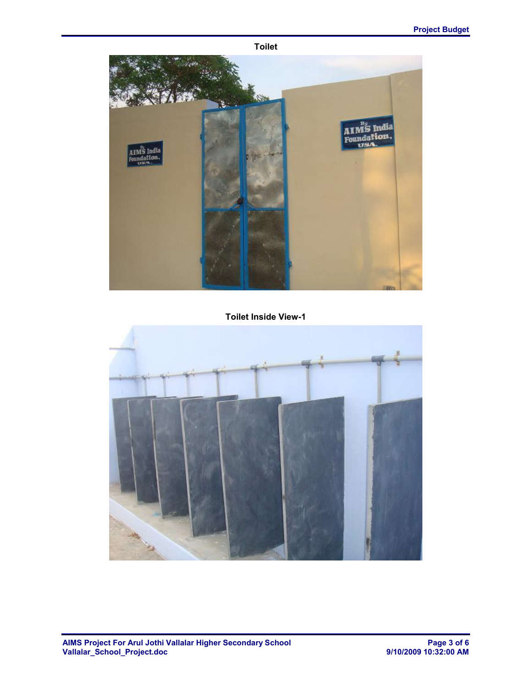**Toilet**



**Toilet Inside View-1**

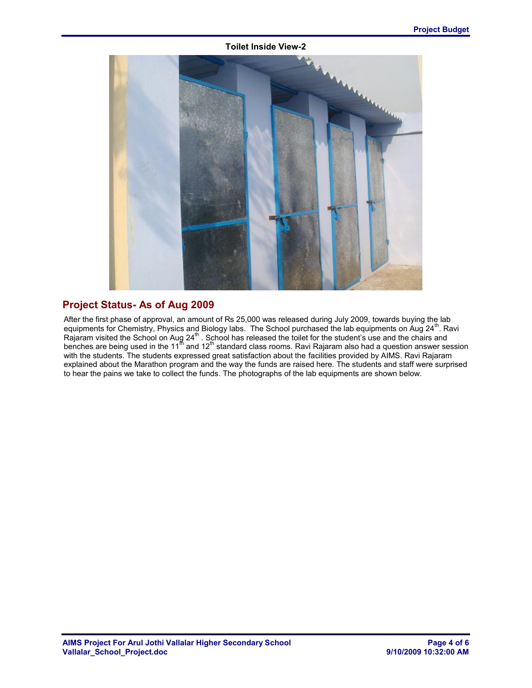#### **Toilet Inside View-2**



# **Project Status- As of Aug 2009**

After the first phase of approval, an amount of Rs 25,000 was released during July 2009, towards buying the lab equipments for Chemistry, Physics and Biology labs. The School purchased the lab equipments on Aug 24<sup>th</sup>. Ravi Rajaram visited the School on Aug 24<sup>th</sup>. School has released the toilet for the student's use and the chairs and benches are being used in the 11<sup>th</sup> and 12<sup>th</sup> standard class rooms. Ravi Rajaram also had a question answer session with the students. The students expressed great satisfaction about the facilities provided by AIMS. Ravi Rajaram explained about the Marathon program and the way the funds are raised here. The students and staff were surprised to hear the pains we take to collect the funds. The photographs of the lab equipments are shown below.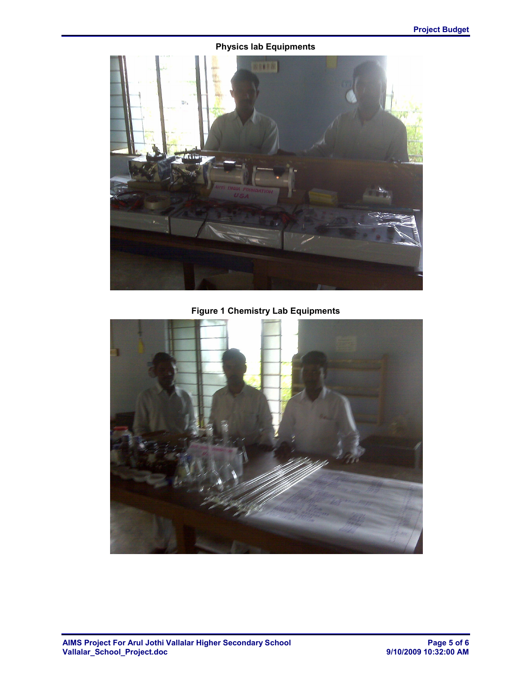## **Physics lab Equipments**



**Figure 1 Chemistry Lab Equipments**